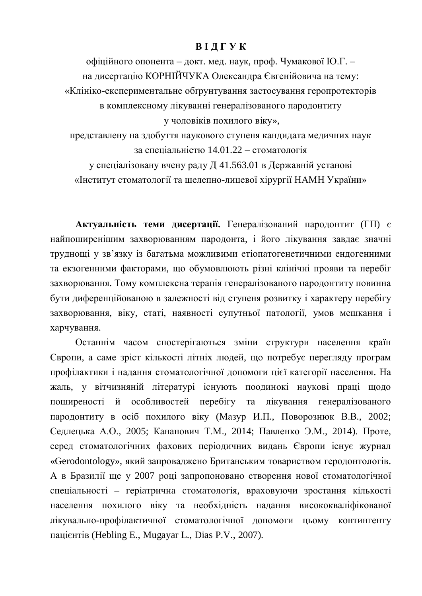# **BI II I Y K**

офіційного опонента – докт. мед. наук, проф. Чумакової Ю.Г. – на лисертацію КОРНІЙЧУКА Олексанлра Євгенійовича на тему: «Клініко-експериментальне обґрунтування застосування геропротекторів в комплексному лікуванні генералізованого пародонтиту у чоловіків похилого віку», представлену на здобуття наукового ступеня кандидата медичних наук

за спеціальністю 14.01.22 – стоматологія

у спеціалізовану вчену раду Д 41.563.01 в Державній установі «Інститут стоматології та щелепно-лицевої хірургії НАМН України»

Актуальність теми дисертації. Генералізований пародонтит (ГП) є найпоширенішим захворюванням пародонта, і його лікування завдає значні труднощі у зв'язку із багатьма можливими етіопатогенетичними ендогенними та екзогенними факторами, що обумовлюють різні клінічні прояви та перебіг захворювання. Тому комплексна терапія генералізованого пародонтиту повинна бути диференційованою в залежності від ступеня розвитку і характеру перебігу захворювання, віку, статі, наявності супутньої патології, умов мешкання і харчування.

Останнім часом спостерігаються зміни структури населення країн Свропи, а саме зріст кількості літніх людей, що потребує перегляду програм профілактики і надання стоматологічної допомоги цієї категорії населення. На жаль, у вітчизняній літературі існують поодинокі наукові праці щодо поширеності й особливостей перебігу та лікування генералізованого пародонтиту в осіб похилого віку (Мазур И.П., Поворознюк В.В., 2002; Седлецька А.О., 2005; Кананович Т.М., 2014; Павленко Э.М., 2014). Проте, серед стоматологічних фахових періодичних видань Європи існує журнал «Gerodontology», який запроваджено Британським товариством геродонтологів. А в Бразилії ще у 2007 році запропоновано створення нової стоматологічної спеціальності – геріатрична стоматологія, враховуючи зростання кількості населення похилого віку та необхідність надання висококваліфікованої лікувально-профілактичної стоматологічної допомоги цьому контингенту пацієнтів (Hebling E., Mugayar L., Dias P.V., 2007).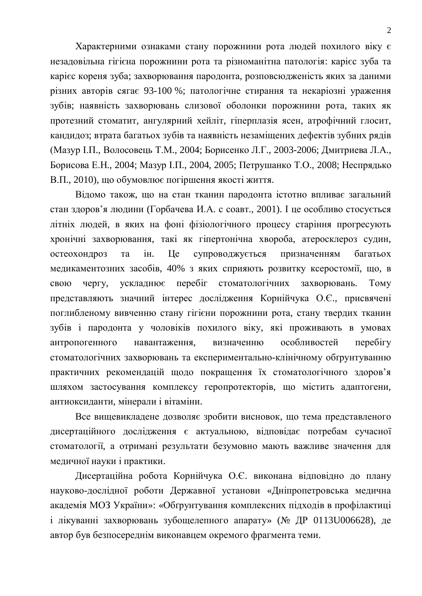Характерними ознаками стану порожнини рота людей похилого віку є незадовільна гігієна порожнини рота та різноманітна патологія: карієс зуба та карієс кореня зуба; захворювання пародонта, розповсюдженість яких за даними різних авторів сягає 93-100 %; патологічне стирання та некаріозні ураження зубів; наявність захворювань слизової оболонки порожнини рота, таких як протезний стоматит, ангулярний хейліт, гіперплазія ясен, атрофічний глосит, кандидоз; втрата багатьох зубів та наявність незаміщених дефектів зубних рядів (Мазур І.П., Волосовець Т.М., 2004; Борисенко Л.Г., 2003-2006; Дмитриева Л.А., Борисова Е.Н., 2004; Мазур І.П., 2004, 2005; Петрушанко Т.О., 2008; Неспрядько В.П., 2010), що обумовлює погіршення якості життя.

Відомо також, що на стан тканин пародонта істотно впливає загальний стан здоров'я людини (Горбачева И.А. с соавт., 2001). І це особливо стосується літніх людей, в яких на фоні фізіологічного процесу старіння прогресують хронічні захворювання, такі як гіпертонічна хвороба, атеросклероз судин, остеохондроз та ін. Це супроводжується призначенням багатьох медикаментозних засобів, 40% з яких сприяють розвитку ксеростомії, що, в свою чергу, ускладнює перебіг стоматологічних захворювань. Тому представляють значний інтерес дослідження Корнійчука О.Є., присвячені поглибленому вивченню стану гігієни порожнини рота, стану твердих тканин зубів і пародонта у чоловіків похилого віку, які проживають в умовах антропогенного навантаження, визначенню особливостей перебігу стоматологічних захворювань та експериментально-клінічному обґрунтуванню практичних рекомендацій щодо покращення їх стоматологічного здоров'я шляхом застосування комплексу геропротекторів, що містить адаптогени, антиоксиданти, мінерали і вітаміни.

Все вищевикладене дозволяє зробити висновок, що тема представленого дисертаційного дослідження є актуальною, відповідає потребам сучасної стоматології, а отримані результати безумовно мають важливе значення для медичної науки і практики.

Дисертаційна робота Корнійчука О.Є. виконана відповідно до плану науково-дослідної роботи Державної установи «Дніпропетровська медична академія МОЗ України»: «Обґрунтування комплексних підходів в профілактиці і лікуванні захворювань зубощелепного апарату» (№ ДР 0113U006628), де автор був безпосереднім виконавцем окремого фрагмента теми.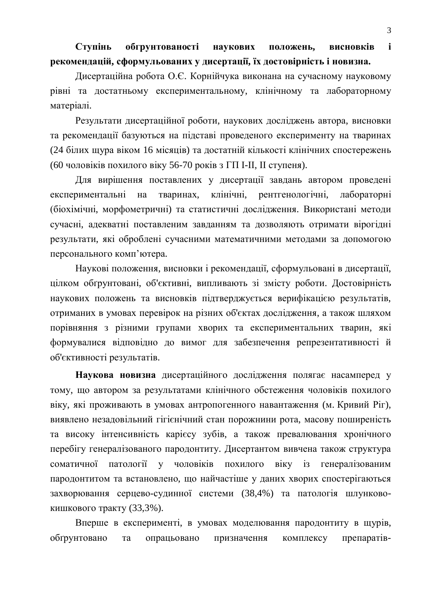# Ступінь обгрунтованості наукових положень, висновків і рекомендацій, сформульованих у дисертації, їх достовірність і новизна.

Дисертаційна робота О.Є. Корнійчука виконана на сучасному науковому рівні та достатньому експериментальному, клінічному та лабораторному матеріалі.

Результати дисертаційної роботи, наукових досліджень автора, висновки та рекомендації базуються на підставі проведеного експерименту на тваринах (24 білих щура віком 16 місяців) та достатній кількості клінічних спостережень (60 чоловіків похилого віку 56-70 років з ГП І-ІІ, ІІ ступеня).

Для вирішення поставлених у дисертації завдань автором проведені експериментальні на тваринах, клінічні, рентгенологічні, лабораторні (біохімічні, морфометричні) та статистичні дослідження. Використані методи сучасні, адекватні поставленим завданням та дозволяють отримати вірогідні результати, які оброблені сучасними математичними методами за допомогою персонального комп'ютера.

Наукові положення, висновки і рекомендації, сформульовані в дисертації, цілком обгрунтовані, об'єктивні, випливають зі змісту роботи. Достовірність наукових положень та висновків підтверджується верифікацією результатів, отриманих в умовах перевірок на різних об'єктах дослідження, а також шляхом порівняння з різними групами хворих та експериментальних тварин, які формувалися відповідно до вимог для забезпечення репрезентативності й об'єктивності результатів.

Наукова новизна дисертаційного дослідження полягає насамперед у тому, що автором за результатами клінічного обстеження чоловіків похилого віку, які проживають в умовах антропогенного навантаження (м. Кривий Ріг), виявлено незадовільний гігієнічний стан порожнини рота, масову поширеність та високу інтенсивність карієсу зубів, а також превалювання хронічного перебігу генералізованого пародонтиту. Дисертантом вивчена також структура соматичної патології у чоловіків похилого віку із генералізованим пародонтитом та встановлено, що найчастіше у даних хворих спостерігаються захворювання серцево-судинної системи (38,4%) та патологія шлунковокишкового тракту (33,3%).

Вперше в експерименті, в умовах моделювання пародонтиту в щурів, обґрунтовано та опрацьовано призначення комплексу препаратів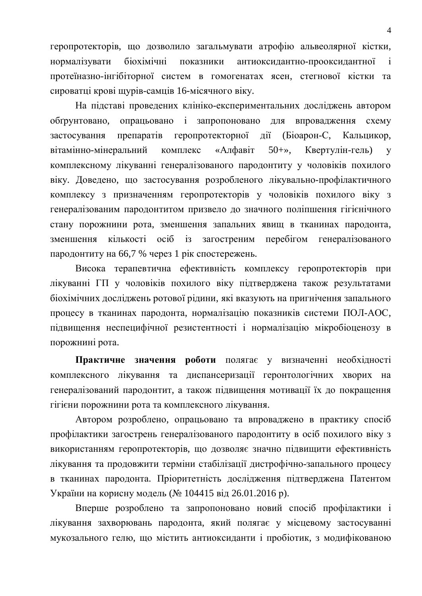геропротекторів, що дозволило загальмувати атрофію альвеолярної кістки, нормалізувати біохімічні показники антиоксидантно-прооксидантної і протеїназно-інгібіторної систем в гомогенатах ясен, стегнової кістки та сироватці крові шурів-самців 16-місячного віку.

На підставі проведених клініко-експериментальних досліджень автором обґрунтовано, опрацьовано і запропоновано для впровадження схему застосування препаратів геропротекторної дії (Біоарон-С, Кальцикор, вітамінно-мінеральний комплекс «Алфавіт 50+», Квертулін-гель) у комплексному лікуванні генералізованого пародонтиту у чоловіків похилого віку. Доведено, що застосування розробленого лікувально-профілактичного комплексу з призначенням геропротекторів у чоловіків похилого віку з генералізованим пародонтитом призвело до значного поліпшення гігієнічного стану порожнини рота, зменшення запальних явищ в тканинах пародонта, зменшення кількості осіб із загостреним перебігом генералізованого пародонтиту на 66,7 % через 1 рік спостережень.

Висока терапевтична ефективність комплексу геропротекторів при лікуванні ГП у чоловіків похилого віку підтверджена також результатами біохімічних досліджень ротової рідини, які вказують на пригнічення запального процесу в тканинах пародонта, нормалізацію показників системи ПОЛ-АОС, підвищення неспецифічної резистентності і нормалізацію мікробіоценозу в порожнині рота.

Практичне значення роботи полягає у визначенні необхідності комплексного лікування та диспансеризації геронтологічних хворих на генералізований пародонтит, а також підвищення мотивації їх до покращення гігієни порожнини рота та комплексного лікування.

Автором розроблено, опрацьовано та впроваджено в практику спосіб профілактики загострень генералізованого пародонтиту в осіб похилого віку з використанням геропротекторів, що дозволяє значно підвищити ефективність лікування та продовжити терміни стабілізації дистрофічно-запального процесу в тканинах пародонта. Пріоритетність дослідження підтверджена Патентом України на корисну модель (№ 104415 від 26.01.2016 р).

Вперше розроблено та запропоновано новий спосіб профілактики і лікування захворювань пародонта, який полягає у місцевому застосуванні мукозального гелю, що містить антиоксиланти і пробіотик, з молифікованою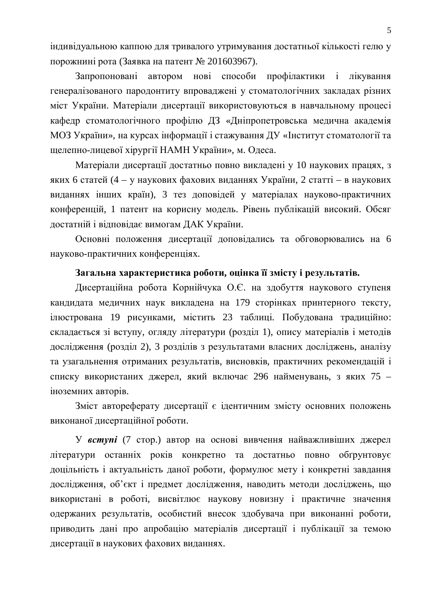індивідуальною каппою для тривалого утримування достатньої кількості гелю у порожнині рота (Заявка на патент № 201603967).

Запропоновані автором нові способи профілактики і лікування генералізованого пародонтиту впроваджені у стоматологічних закладах різних міст України. Матеріали дисертації використовуються в навчальному процесі кафедр стоматологічного профілю ДЗ «Дніпропетровська медична академія МОЗ України», на курсах інформації і стажування ДУ «Інститут стоматології та щелепно-лицевої хірургії НАМН України», м. Одеса.

Матеріали дисертації достатньо повно викладені у 10 наукових працях, з яких 6 статей (4 – у наукових фахових виданнях України, 2 статті – в наукових виданнях інших країн), 3 тез доповідей у матеріалах науково-практичних конференцій, 1 патент на корисну модель. Рівень публікацій високий. Обсяг достатній і відповідає вимогам ДАК України.

Основні положення дисертації доповідались та обговорювались на 6 науково-практичних конференціях.

# Загальна характеристика роботи, оцінка її змісту і результатів.

Дисертаційна робота Корнійчука О.Є. на здобуття наукового ступеня кандидата медичних наук викладена на 179 сторінках принтерного тексту, ілюстрована 19 рисунками, містить 23 таблиці. Побудована традиційно: складається зі вступу, огляду літератури (розділ 1), опису матеріалів і методів дослідження (розділ 2), 3 розділів з результатами власних досліджень, аналізу та узагальнення отриманих результатів, висновків, практичних рекомендацій і списку використаних джерел, який включає 296 найменувань, з яких 75 – іноземних авторів.

Зміст автореферату дисертації є ідентичним змісту основних положень виконаної дисертаційної роботи.

У **вступі** (7 стор.) автор на основі вивчення найважливіших джерел літератури останніх років конкретно та достатньо повно обґрунтовує доцільність і актуальність даної роботи, формулює мету і конкретні завдання дослідження, об'єкт і предмет дослідження, наводить методи досліджень, що використані в роботі, висвітлює наукову новизну і практичне значення одержаних результатів, особистий внесок здобувача при виконанні роботи, приводить дані про апробацію матеріалів дисертації і публікації за темою дисертації в наукових фахових виданнях.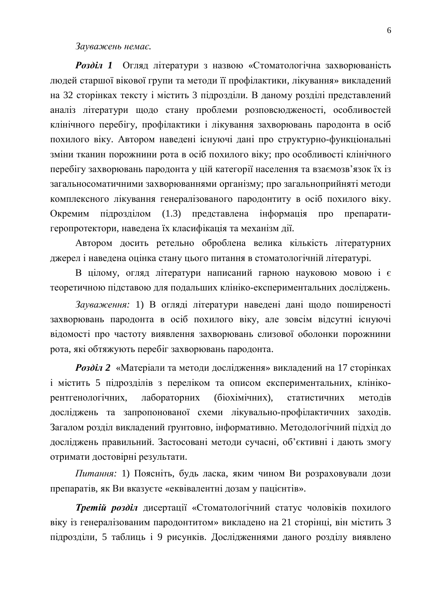#### Зауважень немає.

**Розділ 1** Огляд літератури з назвою «Стоматологічна захворюваність людей старшої вікової групи та методи її профілактики, лікування» викладений на 32 сторінках тексту і містить 3 підрозділи. В даному розділі представлений аналіз літератури щодо стану проблеми розповсюдженості, особливостей клінічного перебігу, профілактики і лікування захворювань пародонта в осіб похилого віку. Автором наведені існуючі дані про структурно-функціональні зміни тканин порожнини рота в осіб похилого віку; про особливості клінічного перебігу захворювань пародонта у цій категорії населення та взаємозв'язок їх із загальносоматичними захворюваннями організму; про загальноприйняті методи комплексного лікування генералізованого пародонтиту в осіб похилого віку. Окремим підрозділом (1.3) представлена інформація про препаратигеропротектори, наведена їх класифікація та механізм дії.

Автором досить ретельно оброблена велика кількість літературних джерел і наведена оцінка стану цього питання в стоматологічній літературі.

В цілому, огляд літератури написаний гарною науковою мовою і є теоретичною підставою для подальших клініко-експериментальних досліджень.

Зауваження: 1) В огляді літератури наведені дані щодо поширеності захворювань пародонта в осіб похилого віку, але зовсім відсутні існуючі відомості про частоту виявлення захворювань слизової оболонки порожнини рота, які обтяжують перебіг захворювань пародонта.

**Розділ 2** «Матеріали та методи дослідження» викладений на 17 сторінках і містить 5 підрозділів з переліком та описом експериментальних, клінікорентгенологічних, лабораторних (біохімічних), статистичних методів досліджень та запропонованої схеми лікувально-профілактичних заходів. Загалом розділ викладений ґрунтовно, інформативно. Методологічний підхід до досліджень правильний. Застосовані методи сучасні, об'єктивні і дають змогу отримати достовірні результати.

*Питання*: 1) Поясніть, будь ласка, яким чином Ви розраховували дози препаратів, як Ви вказуєте «еквівалентні дозам у пацієнтів».

**Третій розділ** дисертації «Стоматологічний статус чоловіків похилого віку із генералізованим пародонтитом» викладено на 21 сторінці, він містить 3 підрозділи, 5 таблиць і 9 рисунків. Дослідженнями даного розділу виявлено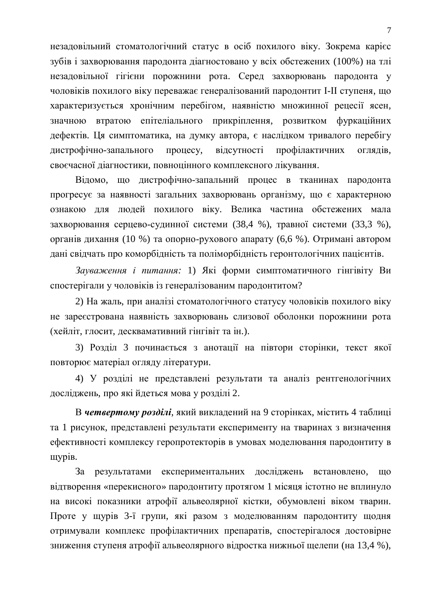незадовільний стоматологічний статус в осіб похилого віку. Зокрема карієс зубів і захворювання пародонта діагностовано у всіх обстежених (100%) на тлі незадовільної гігієни порожнини рота. Серед захворювань пародонта у чоловіків похилого віку переважає генералізований пародонтит I-II ступеня, що характеризується хронічним перебігом, наявністю множинної рецесії ясен, значною втратою епітеліального прикріплення, розвитком фуркаційних дефектів. Ця симптоматика, на думку автора, є наслідком тривалого перебігу дистрофічно-запального процесу, відсутності профілактичних оглядів, своєчасної діагностики, повноцінного комплексного лікування.

Відомо, що дистрофічно-запальний процес в тканинах пародонта прогресує за наявності загальних захворювань організму, що є характерною ознакою для людей похилого віку. Велика частина обстежених мала захворювання серцево-судинної системи (38,4 %), травної системи (33,3 %), органів дихання (10 %) та опорно-рухового апарату (6,6 %). Отримані автором дані свідчать про коморбідність та поліморбідність геронтологічних пацієнтів.

Зауваження *і питання*: 1) Які форми симптоматичного гінгівіту Ви спостерігали у чоловіків із генералізованим пародонтитом?

2) На жаль, при аналізі стоматологічного статусу чоловіків похилого віку не зареєстрована наявність захворювань слизової оболонки порожнини рота (хейліт, глосит, десквамативний гінгівіт та ін.).

3) Розділ 3 починається з анотації на півтори сторінки, текст якої повторює матеріал огляду літератури.

4) У розділі не представлені результати та аналіз рентгенологічних досліджень, про які йдеться мова у розділі 2.

В четвертому розділі, який викладений на 9 сторінках, містить 4 таблиці та 1 рисунок, представлені результати експерименту на тваринах з визначення ефективності комплексу геропротекторів в умовах моделювання пародонтиту в щурів.

За результатами експериментальних досліджень встановлено, що відтворення «перекисного» пародонтиту протягом 1 місяця істотно не вплинуло на високі показники атрофії альвеолярної кістки, обумовлені віком тварин. Проте у щурів 3-ї групи, які разом з моделюванням пародонтиту щодня отримували комплекс профілактичних препаратів, спостерігалося достовірне зниження ступеня атрофії альвеолярного відростка нижньої щелепи (на 13,4 %),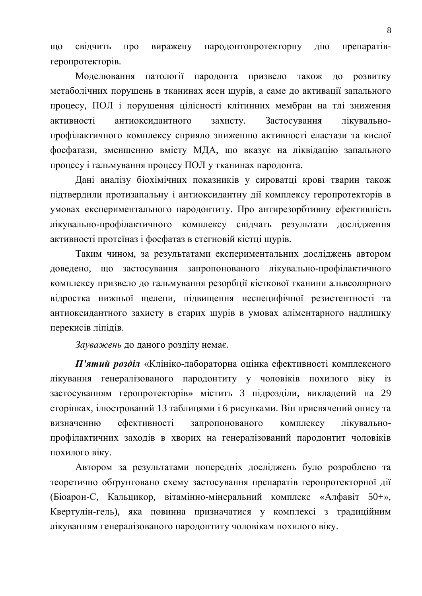що свідчить про виражену пародонтопротекторну дію препаратівrepoπpotektopib.

Моделювання патології пародонта призвело також до розвитку метаболічних порушень в тканинах ясен щурів, а саме до активації запального процесу, ПОЛ і порушення цілісності клітинних мембран на тлі зниження активності антиоксидантного захисту. Застосування лікувальнопрофілактичного комплексу сприяло зниженню активності еластази та кислої фосфатази, зменшенню вмісту МДА, що вказує на ліквідацію запального процесу і гальмування процесу ПОЛ у тканинах пародонта.

Дані аналізу біохімічних показників у сироватці крові тварин також підтвердили протизапальну і антиоксидантну дії комплексу геропротекторів в умовах експериментального пародонтиту. Про антирезорбтивну ефективність лікувально-профілактичного комплексу свідчать результати дослідження активності протеїназ і фосфатаз в стегновій кістці щурів.

Таким чином, за результатами експериментальних досліджень автором доведено, що застосування запропонованого лікувально-профілактичного комплексу призвело до гальмування резорбції кісткової тканини альвеолярного відростка нижньої щелепи, підвищення неспецифічної резистентності та антиоксидантного захисту в старих щурів в умовах аліментарного надлишку перекисів ліпідів.

Зауважень до даного розділу немає.

**П'ятий розділ** «Клініко-лабораторна оцінка ефективності комплексного лікування генералізованого пародонтиту у чоловіків похилого віку із застосуванням геропротекторів» містить 3 підрозділи, викладений на 29 сторінках, ілюстрований 13 таблицями і 6 рисунками. Він присвячений опису та визначенню ефективності запропонованого комплексу лікувальнопрофілактичних заходів в хворих на генералізований пародонтит чоловіків похилого віку.

Автором за результатами попередніх досліджень було розроблено та теоретично обґрунтовано схему застосування препаратів геропротекторної дії (Біоарон-С, Кальцикор, вітамінно-мінеральний комплекс «Алфавіт 50+», Квертулін-гель), яка повинна призначатися у комплексі з традиційним лікуванням генералізованого пародонтиту чоловікам похилого віку.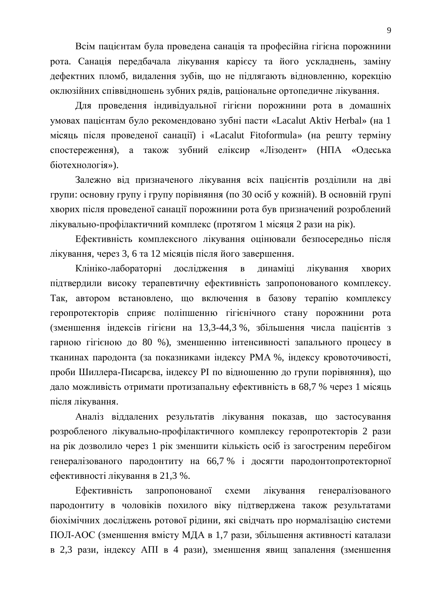Всім пацієнтам була проведена санація та професійна гігієна порожнини рота. Санація передбачала лікування карієсу та його ускладнень, заміну дефектних пломб, видалення зубів, що не підлягають відновленню, корекцію оклюзійних співвілношень зубних рядів, раціональне ортопеличне лікування.

Для проведення індивідуальної гігієни порожнини рота в домашніх умовах пацієнтам було рекомендовано зубні пасти «Lacalut Aktiv Herbal» (на 1 місяць після проведеної санації) і «Lacalut Fitoformula» (на решту терміну спостереження), а також зубний еліксир «Лізодент» (НПА «Одеська біотехнологія»).

Залежно від призначеного лікування всіх пацієнтів розділили на дві групи: основну групу і групу порівняння (по 30 осіб у кожній). В основній групі хворих після проведеної санації порожнини рота був призначений розроблений лікувально-профілактичний комплекс (протягом 1 місяця 2 рази на рік).

Ефективність комплексного лікування оцінювали безпосередньо після лікування, через 3, 6 та 12 місяців після його завершення.

Клініко-лабораторні дослідження в динаміці лікування хворих підтвердили високу терапевтичну ефективність запропонованого комплексу. Так, автором встановлено, що включення в базову терапію комплексу геропротекторів сприяє поліпшенню гігієнічного стану порожнини рота (зменшення індексів гігієни на 13,3-44,3 %, збільшення числа пацієнтів з гарною гігієною до 80 %), зменшенню інтенсивності запального процесу в тканинах пародонта (за показниками індексу РМА %, індексу кровоточивості, проби Шиллера-Писарєва, індексу РІ по відношенню до групи порівняння), що дало можливість отримати протизапальну ефективність в 68,7 % через 1 місяць після лікування.

Аналіз віддалених результатів лікування показав, що застосування розробленого лікувально-профілактичного комплексу геропротекторів 2 рази на рік дозволило через 1 рік зменшити кількість осіб із загостреним перебігом генералізованого пародонтиту на 66,7 % і досягти пародонтопротекторної ефективності лікування в 21,3 %.

Ефективність запропонованої схеми лікування генералізованого пародонтиту в чоловіків похилого віку підтверджена також результатами біохімічних досліджень ротової рідини, які свідчать про нормалізацію системи ПОЛ-АОС (зменшення вмісту МДА в 1,7 рази, збільшення активності каталази в 2,3 рази, індексу АПІ в 4 рази), зменшення явищ запалення (зменшення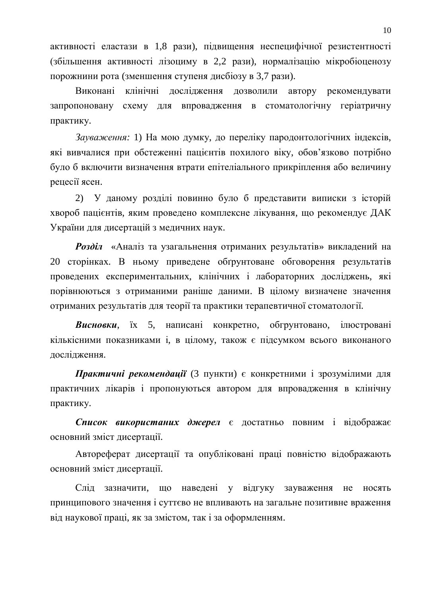активності еластази в 1,8 рази), підвищення неспецифічної резистентності (збільшення активності лізоциму в 2,2 рази), нормалізацію мікробіоценозу порожнини рота (зменшення ступеня дисбіозу в 3,7 рази).

Виконані клінічні лослілження дозволили автору рекомендувати запропоновану схему для впровадження в стоматологічну геріатричну практику.

Зауваження: 1) На мою думку, до переліку пародонтологічних індексів, які вивчалися при обстеженні пацієнтів похилого віку, обов'язково потрібно було б включити визначення втрати епітеліального прикріплення або величину рецесії ясен.

2) У даному розділі повинно було б представити виписки з історій хвороб пацієнтів, яким проведено комплексне лікування, що рекомендує ДАК України для дисертацій з медичних наук.

Розділ «Аналіз та узагальнення отриманих результатів» викладений на 20 сторінках. В ньому приведене обтрунтоване обговорення результатів проведених експериментальних, клінічних і лабораторних досліджень, які порівнюються з отриманими раніше даними. В цілому визначене значення отриманих результатів для теорії та практики терапевтичної стоматології.

**Висновки**, їх 5, написані конкретно, обгрунтовано, ілюстровані кількісними показниками і, в цілому, також є підсумком всього виконаного дослідження.

**Практичні рекомендації** (3 пункти) є конкретними і зрозумілими для практичних лікарів і пропонуються автором для впровадження в клінічну практику.

Список використаних джерел є достатньо повним і відображає основний зміст дисертації.

Автореферат дисертації та опубліковані праці повністю відображають основний зміст дисертації.

Слід зазначити, що наведені у відгуку зауваження не носять принципового значення і суттєво не впливають на загальне позитивне враження від наукової праці, як за змістом, так і за оформленням.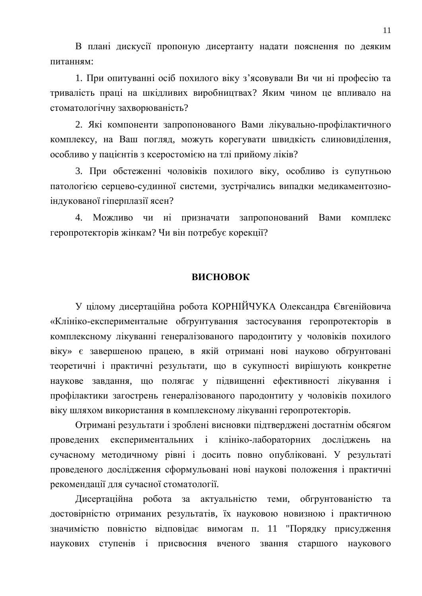В плані дискусії пропоную дисертанту надати пояснення по деяким питанням:

1. При опитуванні осіб похилого віку з'ясовували Ви чи ні професію та тривалість праці на шкідливих виробництвах? Яким чином це впливало на стоматологічну захворюваність?

2. Які компоненти запропонованого Вами лікувально-профілактичного комплексу, на Ваш погляд, можуть корегувати швидкість слиновиділення, особливо у пацієнтів з ксеростомією на тлі прийому ліків?

3. При обстеженні чоловіків похилого віку, особливо із супутньою патологією серцево-судинної системи, зустрічались випадки медикаментозноіндукованої гіперплазії ясен?

4. Можливо чи ні призначати запропонований Вами комплекс геропротекторів жінкам? Чи він потребує корекції?

## **RUCHOROK**

У цілому дисертаційна робота КОРНІЙЧУКА Олександра Євгенійовича «Клініко-експериментальне обґрунтування застосування геропротекторів в комплексному лікуванні генералізованого пародонтиту у чоловіків похилого віку» є завершеною працею, в якій отримані нові науково обґрунтовані теоретичні і практичні результати, що в сукупності вирішують конкретне наукове завдання, що полягає у підвищенні ефективності лікування і профілактики загострень генералізованого пародонтиту у чоловіків похилого віку шляхом використання в комплексному лікуванні геропротекторів.

Отримані результати і зроблені висновки підтверджені достатнім обсягом проведених експериментальних і клініко-лабораторних досліджень на сучасному методичному рівні і досить повно опубліковані. У результаті проведеного дослідження сформульовані нові наукові положення і практичні рекомендації для сучасної стоматології.

Дисертаційна робота за актуальністю теми, обгрунтованістю та достовірністю отриманих результатів, їх науковою новизною і практичною значимістю повністю відповідає вимогам п. 11 "Порядку присудження наукових ступенів і присвоєння вченого звання старшого наукового